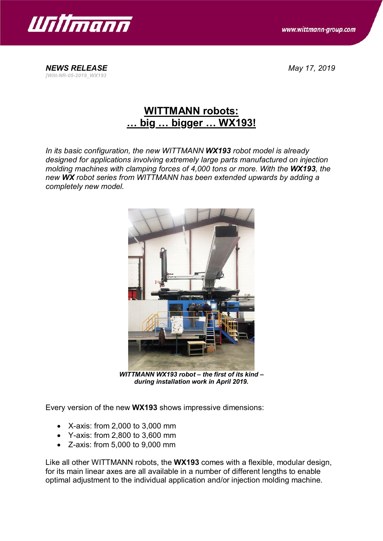

*[Witt-NR-05-2019\_WX193*

www.wittmann-group.com

*NEWS RELEASE May 17, 2019*

## **WITTMANN robots: … big … bigger … WX193!**

*In its basic configuration, the new WITTMANN WX193 robot model is already designed for applications involving extremely large parts manufactured on injection molding machines with clamping forces of 4,000 tons or more. With the WX193, the new WX robot series from WITTMANN has been extended upwards by adding a completely new model.*



*WITTMANN WX193 robot – the first of its kind – during installation work in April 2019.*

Every version of the new **WX193** shows impressive dimensions:

- · X-axis: from 2,000 to 3,000 mm
- · Y-axis: from 2,800 to 3,600 mm
- · Z-axis: from 5,000 to 9,000 mm

Like all other WITTMANN robots, the **WX193** comes with a flexible, modular design, for its main linear axes are all available in a number of different lengths to enable optimal adjustment to the individual application and/or injection molding machine.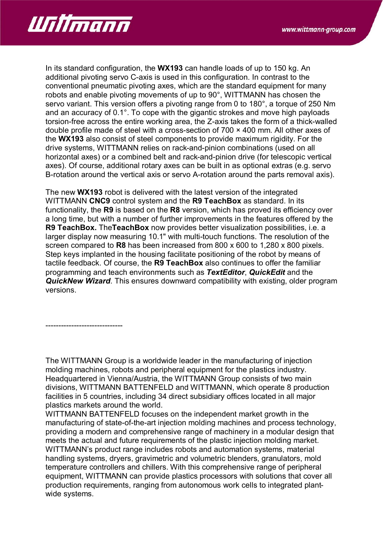

In its standard configuration, the **WX193** can handle loads of up to 150 kg. An additional pivoting servo C-axis is used in this configuration. In contrast to the conventional pneumatic pivoting axes, which are the standard equipment for many robots and enable pivoting movements of up to 90°, WITTMANN has chosen the servo variant. This version offers a pivoting range from 0 to 180°, a torque of 250 Nm and an accuracy of 0.1°. To cope with the gigantic strokes and move high payloads torsion-free across the entire working area, the Z-axis takes the form of a thick-walled double profile made of steel with a cross-section of 700 × 400 mm. All other axes of the **WX193** also consist of steel components to provide maximum rigidity. For the drive systems, WITTMANN relies on rack-and-pinion combinations (used on all horizontal axes) or a combined belt and rack-and-pinion drive (for telescopic vertical axes). Of course, additional rotary axes can be built in as optional extras (e.g. servo B-rotation around the vertical axis or servo A-rotation around the parts removal axis).

The new **WX193** robot is delivered with the latest version of the integrated WITTMANN **CNC9** control system and the **R9 TeachBox** as standard. In its functionality, the **R9** is based on the **R8** version, which has proved its efficiency over a long time, but with a number of further improvements in the features offered by the **R9 TeachBox.** The**TeachBox** now provides better visualization possibilities, i.e. a larger display now measuring 10.1" with multi-touch functions. The resolution of the screen compared to **R8** has been increased from 800 x 600 to 1,280 x 800 pixels. Step keys implanted in the housing facilitate positioning of the robot by means of tactile feedback. Of course, the **R9 TeachBox** also continues to offer the familiar programming and teach environments such as *TextEditor*, *QuickEdit* and the *QuickNew Wizard*. This ensures downward compatibility with existing, older program versions.

------------------------------

The WITTMANN Group is a worldwide leader in the manufacturing of injection molding machines, robots and peripheral equipment for the plastics industry. Headquartered in Vienna/Austria, the WITTMANN Group consists of two main divisions, WITTMANN BATTENFELD and WITTMANN, which operate 8 production facilities in 5 countries, including 34 direct subsidiary offices located in all major plastics markets around the world.

WITTMANN BATTENFELD focuses on the independent market growth in the manufacturing of state-of-the-art injection molding machines and process technology, providing a modern and comprehensive range of machinery in a modular design that meets the actual and future requirements of the plastic injection molding market. WITTMANN's product range includes robots and automation systems, material handling systems, dryers, gravimetric and volumetric blenders, granulators, mold temperature controllers and chillers. With this comprehensive range of peripheral equipment, WITTMANN can provide plastics processors with solutions that cover all production requirements, ranging from autonomous work cells to integrated plantwide systems.